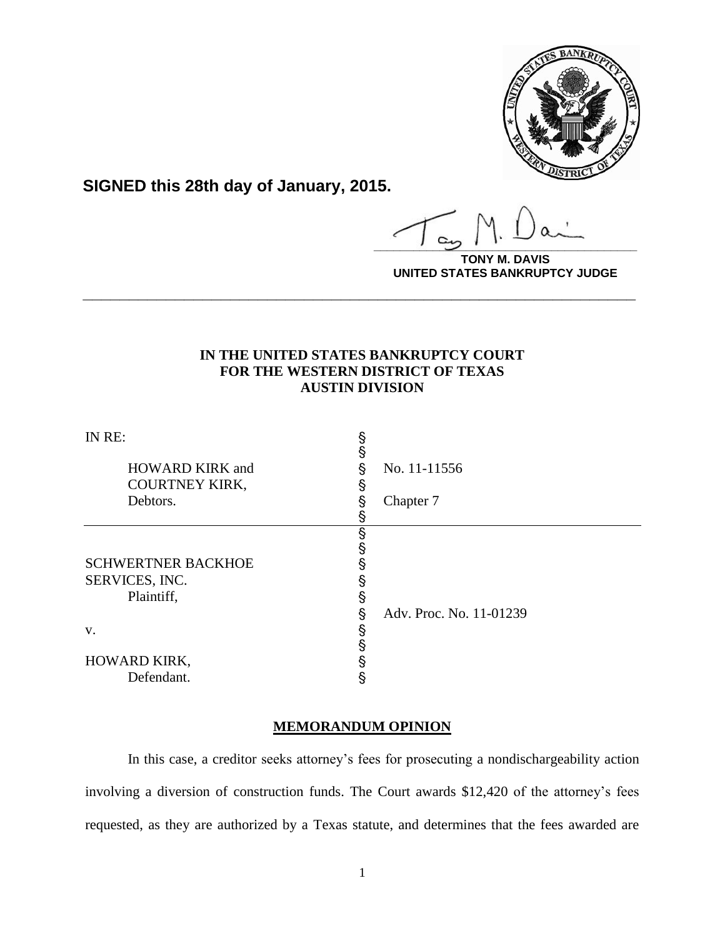

**SIGNED this 28th day of January, 2015.**

**\_\_\_\_\_\_\_\_\_\_\_\_\_\_\_\_\_\_\_\_\_\_\_\_\_\_\_\_\_\_\_\_\_\_\_\_\_\_\_\_**

**TONY M. DAVIS UNITED STATES BANKRUPTCY JUDGE**

# **IN THE UNITED STATES BANKRUPTCY COURT FOR THE WESTERN DISTRICT OF TEXAS AUSTIN DIVISION**

**\_\_\_\_\_\_\_\_\_\_\_\_\_\_\_\_\_\_\_\_\_\_\_\_\_\_\_\_\_\_\_\_\_\_\_\_\_\_\_\_\_\_\_\_\_\_\_\_\_\_\_\_\_\_\_\_\_\_\_\_**

| IN RE:                    | §                            |  |
|---------------------------|------------------------------|--|
| <b>HOWARD KIRK and</b>    | §<br>No. 11-11556<br>§       |  |
| <b>COURTNEY KIRK,</b>     | ş                            |  |
| Debtors.                  | §<br>Chapter 7               |  |
|                           |                              |  |
|                           | §                            |  |
|                           | §                            |  |
| <b>SCHWERTNER BACKHOE</b> |                              |  |
| SERVICES, INC.            | ş                            |  |
| Plaintiff,                | §                            |  |
|                           | Adv. Proc. No. 11-01239<br>§ |  |
| V.                        | §                            |  |
|                           | §                            |  |
| HOWARD KIRK,              | §                            |  |
| Defendant.                | §                            |  |

### **MEMORANDUM OPINION**

In this case, a creditor seeks attorney's fees for prosecuting a nondischargeability action involving a diversion of construction funds. The Court awards \$12,420 of the attorney's fees requested, as they are authorized by a Texas statute, and determines that the fees awarded are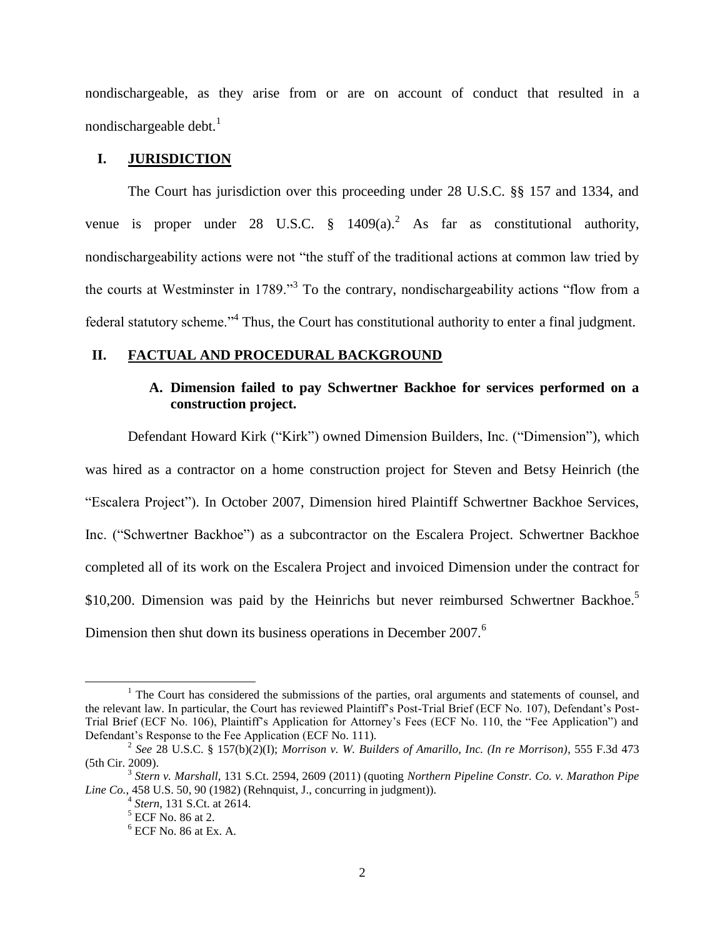nondischargeable, as they arise from or are on account of conduct that resulted in a nondischargeable debt. $<sup>1</sup>$ </sup>

### **I. JURISDICTION**

The Court has jurisdiction over this proceeding under 28 U.S.C. §§ 157 and 1334, and venue is proper under 28 U.S.C.  $\S$  1409(a).<sup>2</sup> As far as constitutional authority, nondischargeability actions were not "the stuff of the traditional actions at common law tried by the courts at Westminster in 1789."<sup>3</sup> To the contrary, nondischargeability actions "flow from a federal statutory scheme."<sup>4</sup> Thus, the Court has constitutional authority to enter a final judgment.

#### **II. FACTUAL AND PROCEDURAL BACKGROUND**

### **A. Dimension failed to pay Schwertner Backhoe for services performed on a construction project.**

Defendant Howard Kirk ("Kirk") owned Dimension Builders, Inc. ("Dimension"), which was hired as a contractor on a home construction project for Steven and Betsy Heinrich (the "Escalera Project"). In October 2007, Dimension hired Plaintiff Schwertner Backhoe Services, Inc. ("Schwertner Backhoe") as a subcontractor on the Escalera Project. Schwertner Backhoe completed all of its work on the Escalera Project and invoiced Dimension under the contract for \$10,200. Dimension was paid by the Heinrichs but never reimbursed Schwertner Backhoe.<sup>5</sup> Dimension then shut down its business operations in December 2007.<sup>6</sup>

<sup>&</sup>lt;sup>1</sup> The Court has considered the submissions of the parties, oral arguments and statements of counsel, and the relevant law. In particular, the Court has reviewed Plaintiff's Post-Trial Brief (ECF No. 107), Defendant's Post-Trial Brief (ECF No. 106), Plaintiff's Application for Attorney's Fees (ECF No. 110, the "Fee Application") and Defendant's Response to the Fee Application (ECF No. 111).

<sup>2</sup> *See* 28 U.S.C. § 157(b)(2)(I); *Morrison v. W. Builders of Amarillo, Inc. (In re Morrison)*, 555 F.3d 473 (5th Cir. 2009).

<sup>3</sup> *Stern v. Marshall*, 131 S.Ct. 2594, 2609 (2011) (quoting *Northern Pipeline Constr. Co. v. Marathon Pipe Line Co.*, 458 U.S. 50, 90 (1982) (Rehnquist, J., concurring in judgment)).

<sup>4</sup> *Stern*, 131 S.Ct. at 2614.

<sup>5</sup> ECF No. 86 at 2.

 $6$  ECF No. 86 at Ex. A.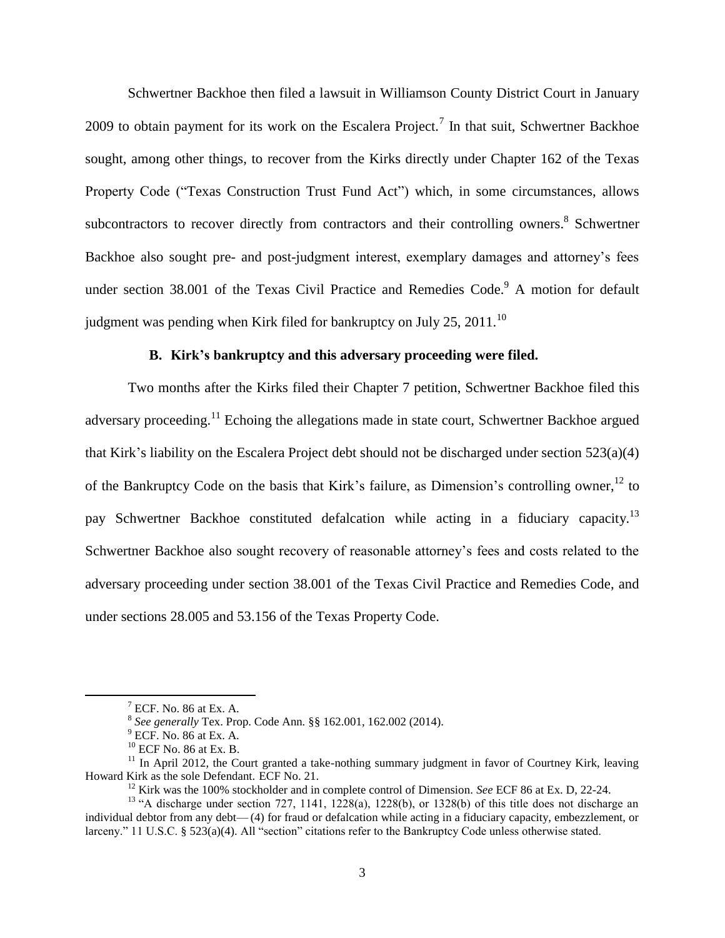Schwertner Backhoe then filed a lawsuit in Williamson County District Court in January 2009 to obtain payment for its work on the Escalera Project.<sup>7</sup> In that suit, Schwertner Backhoe sought, among other things, to recover from the Kirks directly under Chapter 162 of the Texas Property Code ("Texas Construction Trust Fund Act") which, in some circumstances, allows subcontractors to recover directly from contractors and their controlling owners.<sup>8</sup> Schwertner Backhoe also sought pre- and post-judgment interest, exemplary damages and attorney's fees under section 38.001 of the Texas Civil Practice and Remedies Code.<sup>9</sup> A motion for default judgment was pending when Kirk filed for bankruptcy on July 25, 2011.<sup>10</sup>

### **B. Kirk's bankruptcy and this adversary proceeding were filed.**

Two months after the Kirks filed their Chapter 7 petition, Schwertner Backhoe filed this adversary proceeding.<sup>11</sup> Echoing the allegations made in state court, Schwertner Backhoe argued that Kirk's liability on the Escalera Project debt should not be discharged under section 523(a)(4) of the Bankruptcy Code on the basis that Kirk's failure, as Dimension's controlling owner,<sup>12</sup> to pay Schwertner Backhoe constituted defalcation while acting in a fiduciary capacity.<sup>13</sup> Schwertner Backhoe also sought recovery of reasonable attorney's fees and costs related to the adversary proceeding under section 38.001 of the Texas Civil Practice and Remedies Code, and under sections 28.005 and 53.156 of the Texas Property Code.

 $7$  ECF. No. 86 at Ex. A.

<sup>8</sup> *See generally* Tex. Prop. Code Ann. §§ 162.001, 162.002 (2014).

 $9$  ECF. No. 86 at Ex. A.

 $^{10}$  ECF No. 86 at Ex. B.

 $11$  In April 2012, the Court granted a take-nothing summary judgment in favor of Courtney Kirk, leaving Howard Kirk as the sole Defendant. ECF No. 21.

<sup>12</sup> Kirk was the 100% stockholder and in complete control of Dimension. *See* ECF 86 at Ex. D, 22-24.

<sup>&</sup>lt;sup>13</sup> "A discharge under section 727, 1141, 1228(a), 1228(b), or 1328(b) of this title does not discharge an individual debtor from any debt— (4) for fraud or defalcation while acting in a fiduciary capacity, embezzlement, or larceny." 11 U.S.C. § 523(a)(4). All "section" citations refer to the Bankruptcy Code unless otherwise stated.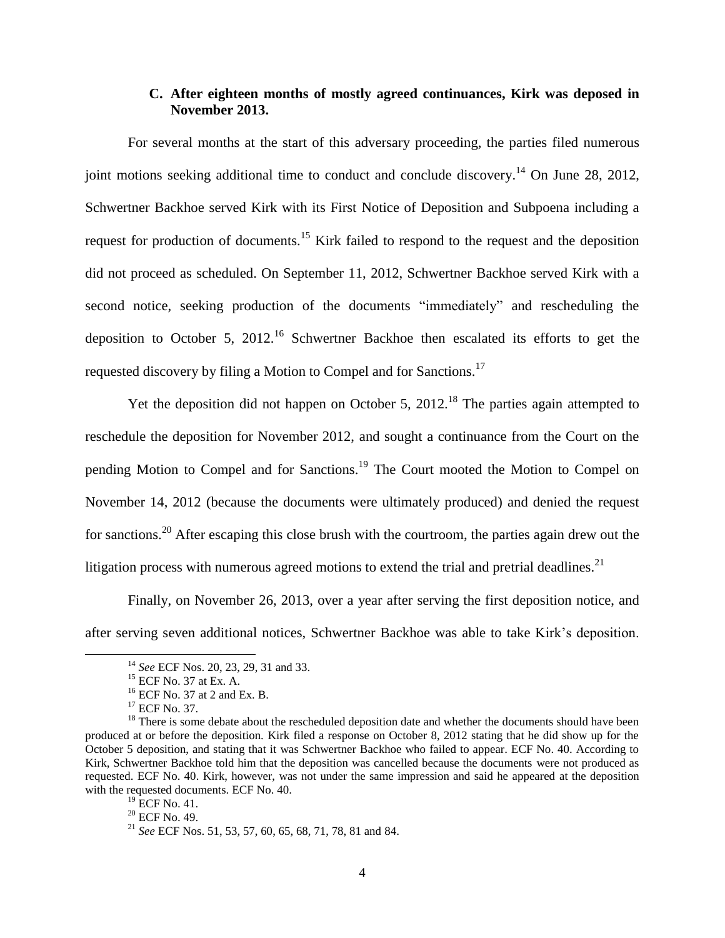#### **C. After eighteen months of mostly agreed continuances, Kirk was deposed in November 2013.**

For several months at the start of this adversary proceeding, the parties filed numerous joint motions seeking additional time to conduct and conclude discovery.<sup>14</sup> On June 28, 2012, Schwertner Backhoe served Kirk with its First Notice of Deposition and Subpoena including a request for production of documents.<sup>15</sup> Kirk failed to respond to the request and the deposition did not proceed as scheduled. On September 11, 2012, Schwertner Backhoe served Kirk with a second notice, seeking production of the documents "immediately" and rescheduling the deposition to October 5,  $2012<sup>16</sup>$  Schwertner Backhoe then escalated its efforts to get the requested discovery by filing a Motion to Compel and for Sanctions.<sup>17</sup>

Yet the deposition did not happen on October 5, 2012.<sup>18</sup> The parties again attempted to reschedule the deposition for November 2012, and sought a continuance from the Court on the pending Motion to Compel and for Sanctions.<sup>19</sup> The Court mooted the Motion to Compel on November 14, 2012 (because the documents were ultimately produced) and denied the request for sanctions.<sup>20</sup> After escaping this close brush with the courtroom, the parties again drew out the litigation process with numerous agreed motions to extend the trial and pretrial deadlines.<sup>21</sup>

Finally, on November 26, 2013, over a year after serving the first deposition notice, and after serving seven additional notices, Schwertner Backhoe was able to take Kirk's deposition.

<sup>14</sup> *See* ECF Nos. 20, 23, 29, 31 and 33.

<sup>15</sup> ECF No. 37 at Ex. A.

<sup>16</sup> ECF No. 37 at 2 and Ex. B.

<sup>&</sup>lt;sup>17</sup> ECF No. 37.

<sup>&</sup>lt;sup>18</sup> There is some debate about the rescheduled deposition date and whether the documents should have been produced at or before the deposition. Kirk filed a response on October 8, 2012 stating that he did show up for the October 5 deposition, and stating that it was Schwertner Backhoe who failed to appear. ECF No. 40. According to Kirk, Schwertner Backhoe told him that the deposition was cancelled because the documents were not produced as requested. ECF No. 40. Kirk, however, was not under the same impression and said he appeared at the deposition with the requested documents. ECF No. 40.

 $^{19}$  ECF No. 41.

<sup>20</sup> ECF No. 49.

<sup>21</sup> *See* ECF Nos. 51, 53, 57, 60, 65, 68, 71, 78, 81 and 84.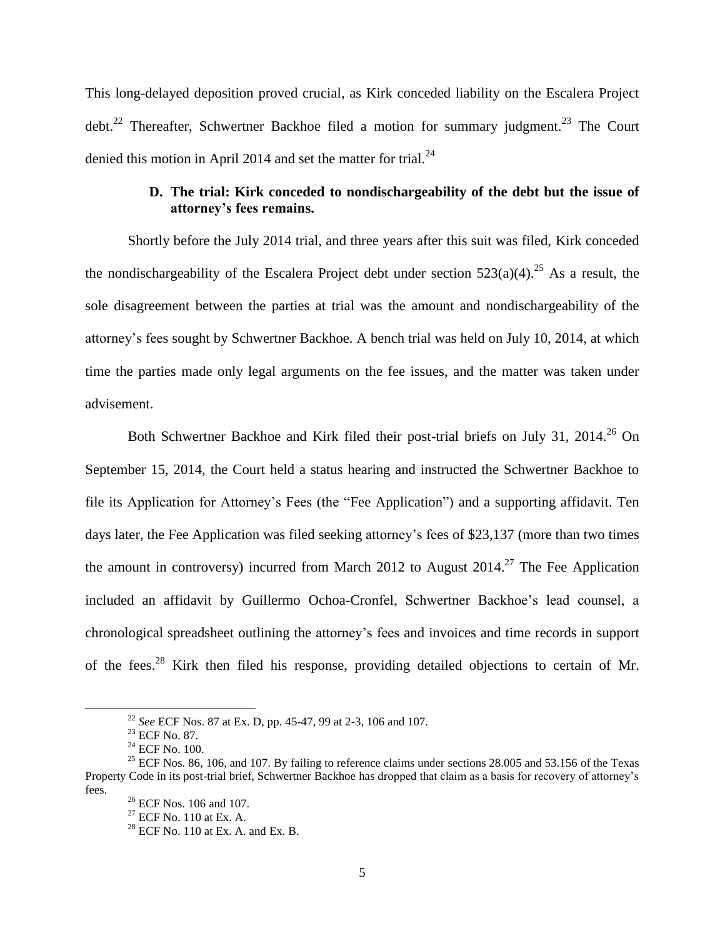This long-delayed deposition proved crucial, as Kirk conceded liability on the Escalera Project debt.<sup>22</sup> Thereafter, Schwertner Backhoe filed a motion for summary judgment.<sup>23</sup> The Court denied this motion in April 2014 and set the matter for trial. $^{24}$ 

### **D. The trial: Kirk conceded to nondischargeability of the debt but the issue of attorney's fees remains.**

Shortly before the July 2014 trial, and three years after this suit was filed, Kirk conceded the nondischargeability of the Escalera Project debt under section  $523(a)(4)$ .<sup>25</sup> As a result, the sole disagreement between the parties at trial was the amount and nondischargeability of the attorney's fees sought by Schwertner Backhoe. A bench trial was held on July 10, 2014, at which time the parties made only legal arguments on the fee issues, and the matter was taken under advisement.

Both Schwertner Backhoe and Kirk filed their post-trial briefs on July 31, 2014.<sup>26</sup> On September 15, 2014, the Court held a status hearing and instructed the Schwertner Backhoe to file its Application for Attorney's Fees (the "Fee Application") and a supporting affidavit. Ten days later, the Fee Application was filed seeking attorney's fees of \$23,137 (more than two times the amount in controversy) incurred from March 2012 to August  $2014$ <sup>27</sup>. The Fee Application included an affidavit by Guillermo Ochoa-Cronfel, Schwertner Backhoe's lead counsel, a chronological spreadsheet outlining the attorney's fees and invoices and time records in support of the fees.<sup>28</sup> Kirk then filed his response, providing detailed objections to certain of Mr.

<sup>22</sup> *See* ECF Nos. 87 at Ex. D, pp. 45-47, 99 at 2-3, 106 and 107.

<sup>23</sup> ECF No. 87.

 $^{24}$  ECF No. 100.

<sup>&</sup>lt;sup>25</sup> ECF Nos. 86, 106, and 107. By failing to reference claims under sections 28.005 and 53.156 of the Texas Property Code in its post-trial brief, Schwertner Backhoe has dropped that claim as a basis for recovery of attorney's fees.

 $26$  ECF Nos. 106 and 107.

 $27$  ECF No. 110 at Ex. A.

 $28$  ECF No. 110 at Ex. A. and Ex. B.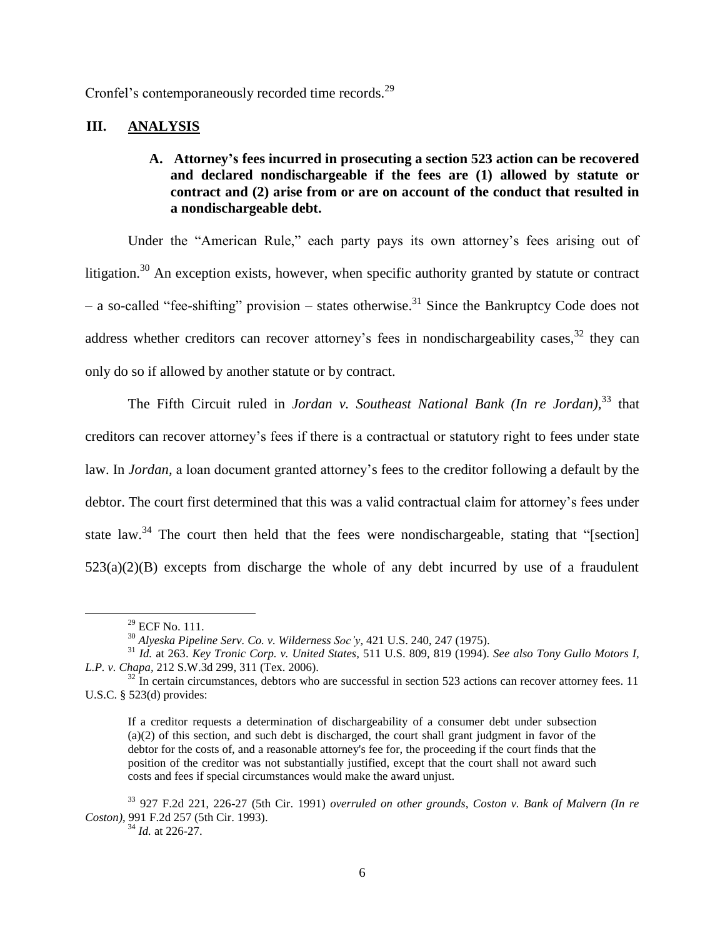Cronfel's contemporaneously recorded time records.<sup>29</sup>

### **III. ANALYSIS**

### **A. Attorney's fees incurred in prosecuting a section 523 action can be recovered and declared nondischargeable if the fees are (1) allowed by statute or contract and (2) arise from or are on account of the conduct that resulted in a nondischargeable debt.**

Under the "American Rule," each party pays its own attorney's fees arising out of litigation.<sup>30</sup> An exception exists, however, when specific authority granted by statute or contract – a so-called "fee-shifting" provision – states otherwise.<sup>31</sup> Since the Bankruptcy Code does not address whether creditors can recover attorney's fees in nondischargeability cases,  $32$  they can only do so if allowed by another statute or by contract.

The Fifth Circuit ruled in *Jordan v. Southeast National Bank (In re Jordan),* <sup>33</sup> that creditors can recover attorney's fees if there is a contractual or statutory right to fees under state law. In *Jordan,* a loan document granted attorney's fees to the creditor following a default by the debtor. The court first determined that this was a valid contractual claim for attorney's fees under state law.<sup>34</sup> The court then held that the fees were nondischargeable, stating that "[section]  $523(a)(2)(B)$  excepts from discharge the whole of any debt incurred by use of a fraudulent

 $29$  ECF No. 111.

<sup>30</sup> *Alyeska Pipeline Serv. Co. v. Wilderness Soc'y,* 421 U.S. 240, 247 (1975).

<sup>31</sup> *Id.* at 263. *Key Tronic Corp. v. United States,* 511 U.S. 809, 819 (1994). *See also Tony Gullo Motors I, L.P. v. Chapa,* 212 S.W.3d 299, 311 (Tex. 2006).

 $32$  In certain circumstances, debtors who are successful in section 523 actions can recover attorney fees. 11 U.S.C. § 523(d) provides:

If a creditor requests a determination of dischargeability of a consumer debt under subsection (a)(2) of this section, and such debt is discharged, the court shall grant judgment in favor of the debtor for the costs of, and a reasonable attorney's fee for, the proceeding if the court finds that the position of the creditor was not substantially justified, except that the court shall not award such costs and fees if special circumstances would make the award unjust.

<sup>33</sup> 927 F.2d 221, 226-27 (5th Cir. 1991) *overruled on other grounds*, *Coston v. Bank of Malvern (In re Coston)*, 991 F.2d 257 (5th Cir. 1993).

<sup>34</sup> *Id.* at 226-27.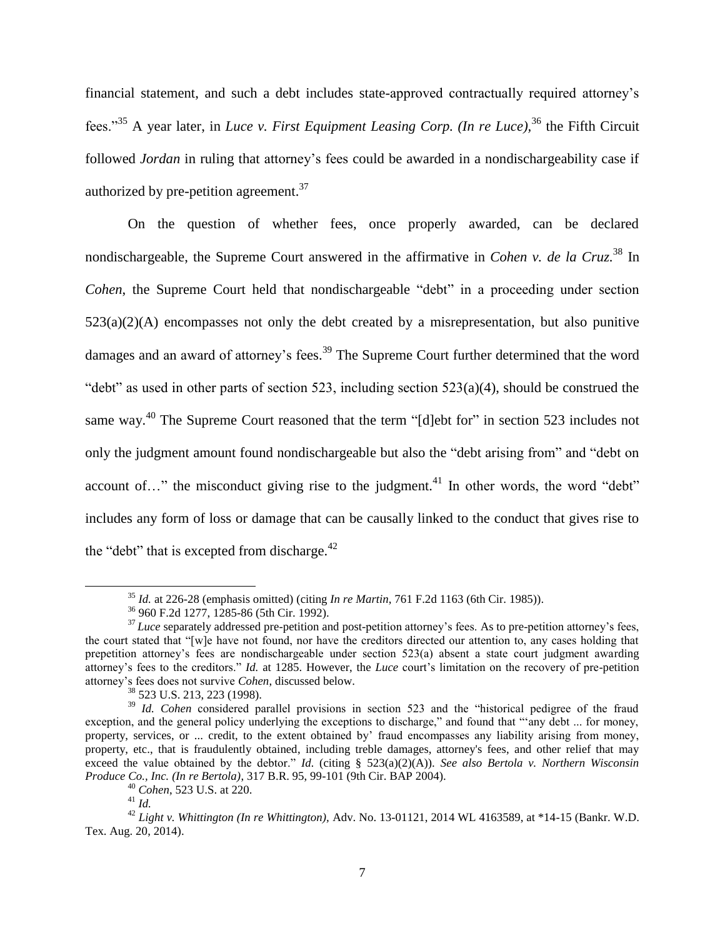financial statement, and such a debt includes state-approved contractually required attorney's fees."<sup>35</sup> A year later, in *Luce v. First Equipment Leasing Corp. (In re Luce),* <sup>36</sup> the Fifth Circuit followed *Jordan* in ruling that attorney's fees could be awarded in a nondischargeability case if authorized by pre-petition agreement.<sup>37</sup>

On the question of whether fees, once properly awarded, can be declared nondischargeable, the Supreme Court answered in the affirmative in *Cohen v. de la Cruz.* <sup>38</sup> In *Cohen*, the Supreme Court held that nondischargeable "debt" in a proceeding under section  $523(a)(2)(A)$  encompasses not only the debt created by a misrepresentation, but also punitive damages and an award of attorney's fees.<sup>39</sup> The Supreme Court further determined that the word "debt" as used in other parts of section 523, including section  $523(a)(4)$ , should be construed the same way.<sup>40</sup> The Supreme Court reasoned that the term "[d]ebt for" in section 523 includes not only the judgment amount found nondischargeable but also the "debt arising from" and "debt on account of..." the misconduct giving rise to the judgment.<sup>41</sup> In other words, the word "debt" includes any form of loss or damage that can be causally linked to the conduct that gives rise to the "debt" that is excepted from discharge. $42$ 

<sup>35</sup> *Id.* at 226-28 (emphasis omitted) (citing *In re Martin*, 761 F.2d 1163 (6th Cir. 1985)).

<sup>36</sup> 960 F.2d 1277, 1285-86 (5th Cir. 1992).

<sup>&</sup>lt;sup>37</sup> *Luce* separately addressed pre-petition and post-petition attorney's fees. As to pre-petition attorney's fees, the court stated that "[w]e have not found, nor have the creditors directed our attention to, any cases holding that prepetition attorney's fees are nondischargeable under section 523(a) absent a state court judgment awarding attorney's fees to the creditors." *Id.* at 1285. However, the *Luce* court's limitation on the recovery of pre-petition attorney's fees does not survive *Cohen*, discussed below.

<sup>38</sup> 523 U.S. 213, 223 (1998).

<sup>&</sup>lt;sup>39</sup> *Id. Cohen* considered parallel provisions in section 523 and the "historical pedigree of the fraud exception, and the general policy underlying the exceptions to discharge," and found that "'any debt ... for money, property, services, or ... credit, to the extent obtained by' fraud encompasses any liability arising from money, property, etc., that is fraudulently obtained, including treble damages, attorney's fees, and other relief that may exceed the value obtained by the debtor." *Id.* (citing § 523(a)(2)(A)). *See also Bertola v. Northern Wisconsin Produce Co., Inc. (In re Bertola)*, 317 B.R. 95, 99-101 (9th Cir. BAP 2004).

<sup>40</sup> *Cohen*, 523 U.S. at 220.

<sup>41</sup> *Id.*

<sup>42</sup> *Light v. Whittington (In re Whittington),* Adv. No. 13-01121, 2014 WL 4163589, at \*14-15 (Bankr. W.D. Tex. Aug. 20, 2014).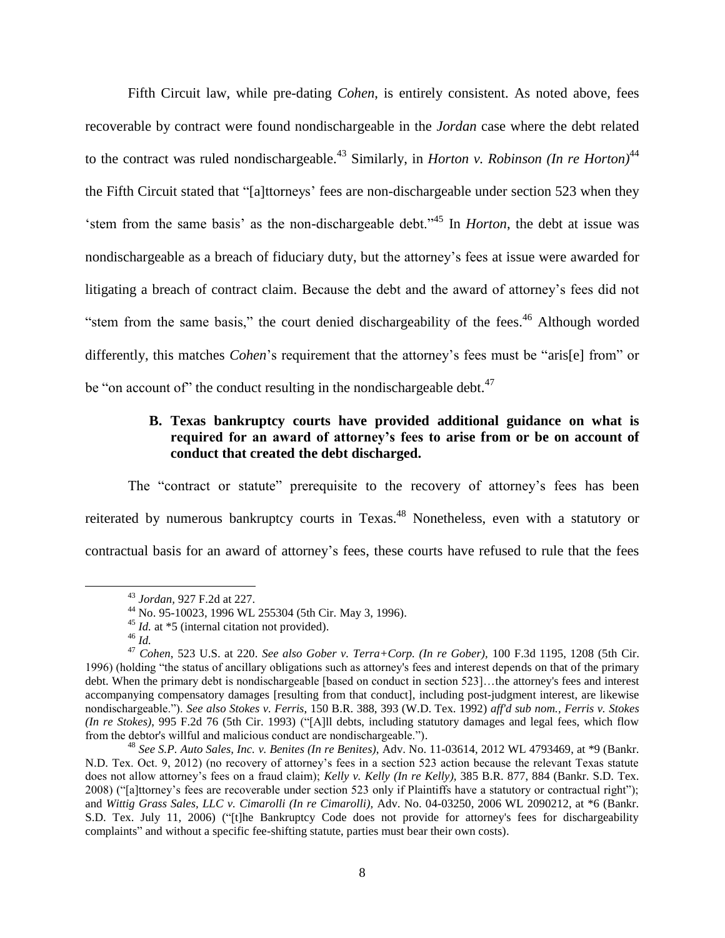Fifth Circuit law, while pre-dating *Cohen*, is entirely consistent. As noted above, fees recoverable by contract were found nondischargeable in the *Jordan* case where the debt related to the contract was ruled nondischargeable.<sup>43</sup> Similarly, in *Horton v. Robinson (In re Horton)*<sup>44</sup> the Fifth Circuit stated that "[a]ttorneys' fees are non-dischargeable under section 523 when they 'stem from the same basis' as the non-dischargeable debt."<sup>45</sup> In *Horton*, the debt at issue was nondischargeable as a breach of fiduciary duty, but the attorney's fees at issue were awarded for litigating a breach of contract claim. Because the debt and the award of attorney's fees did not "stem from the same basis," the court denied dischargeability of the fees.<sup>46</sup> Although worded differently, this matches *Cohen*'s requirement that the attorney's fees must be "aris[e] from" or be "on account of" the conduct resulting in the nondischargeable debt.<sup>47</sup>

# **B. Texas bankruptcy courts have provided additional guidance on what is required for an award of attorney's fees to arise from or be on account of conduct that created the debt discharged.**

The "contract or statute" prerequisite to the recovery of attorney's fees has been reiterated by numerous bankruptcy courts in Texas.<sup>48</sup> Nonetheless, even with a statutory or contractual basis for an award of attorney's fees, these courts have refused to rule that the fees

<sup>43</sup> *Jordan,* 927 F.2d at 227.

<sup>44</sup> No. 95-10023, 1996 WL 255304 (5th Cir. May 3, 1996).

<sup>&</sup>lt;sup>45</sup> *Id.* at \*5 (internal citation not provided).

<sup>46</sup> *Id.*

<sup>47</sup> *Cohen*, 523 U.S. at 220. *See also Gober v. Terra+Corp. (In re Gober),* 100 F.3d 1195, 1208 (5th Cir. 1996) (holding "the status of ancillary obligations such as attorney's fees and interest depends on that of the primary debt. When the primary debt is nondischargeable [based on conduct in section 523]…the attorney's fees and interest accompanying compensatory damages [resulting from that conduct], including post-judgment interest, are likewise nondischargeable."). *See also Stokes v. Ferris*, 150 B.R. 388, 393 (W.D. Tex. 1992) *aff'd sub nom., Ferris v. Stokes (In re Stokes)*, 995 F.2d 76 (5th Cir. 1993) ("[A]ll debts, including statutory damages and legal fees, which flow from the debtor's willful and malicious conduct are nondischargeable.").

<sup>48</sup> *See S.P. Auto Sales, Inc. v. Benites (In re Benites)*, Adv. No. 11-03614, 2012 WL 4793469, at \*9 (Bankr. N.D. Tex. Oct. 9, 2012) (no recovery of attorney's fees in a section 523 action because the relevant Texas statute does not allow attorney's fees on a fraud claim); *Kelly v. Kelly (In re Kelly),* 385 B.R. 877, 884 (Bankr. S.D. Tex. 2008) ("[a]ttorney's fees are recoverable under section 523 only if Plaintiffs have a statutory or contractual right"); and *Wittig Grass Sales, LLC v. Cimarolli (In re Cimarolli),* Adv. No. 04-03250, 2006 WL 2090212, at \*6 (Bankr. S.D. Tex. July 11, 2006) ("[t]he Bankruptcy Code does not provide for attorney's fees for dischargeability complaints" and without a specific fee-shifting statute, parties must bear their own costs).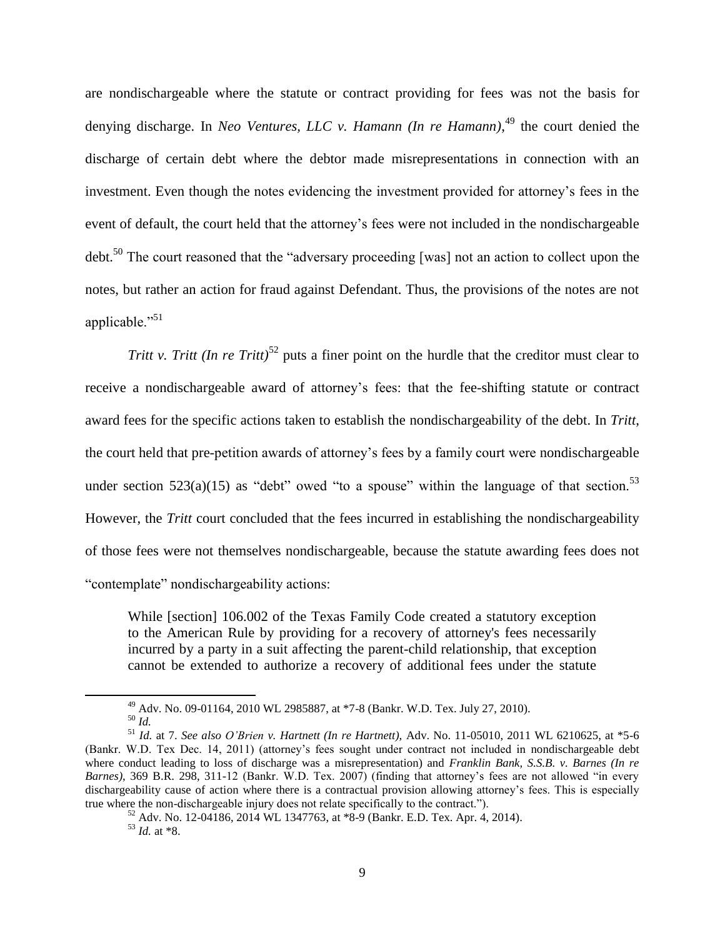are nondischargeable where the statute or contract providing for fees was not the basis for denying discharge. In *Neo Ventures, LLC v. Hamann (In re Hamann)*, <sup>49</sup> the court denied the discharge of certain debt where the debtor made misrepresentations in connection with an investment. Even though the notes evidencing the investment provided for attorney's fees in the event of default, the court held that the attorney's fees were not included in the nondischargeable debt.<sup>50</sup> The court reasoned that the "adversary proceeding [was] not an action to collect upon the notes, but rather an action for fraud against Defendant. Thus, the provisions of the notes are not applicable." $51$ 

*Tritt v. Tritt (In re Tritt)*<sup>52</sup> puts a finer point on the hurdle that the creditor must clear to receive a nondischargeable award of attorney's fees: that the fee-shifting statute or contract award fees for the specific actions taken to establish the nondischargeability of the debt. In *Tritt*, the court held that pre-petition awards of attorney's fees by a family court were nondischargeable under section 523(a)(15) as "debt" owed "to a spouse" within the language of that section.<sup>53</sup> However, the *Tritt* court concluded that the fees incurred in establishing the nondischargeability of those fees were not themselves nondischargeable, because the statute awarding fees does not "contemplate" nondischargeability actions:

While [section] 106.002 of the Texas Family Code created a statutory exception to the American Rule by providing for a recovery of attorney's fees necessarily incurred by a party in a suit affecting the parent-child relationship, that exception cannot be extended to authorize a recovery of additional fees under the statute

<sup>49</sup> Adv. No. 09-01164, 2010 WL 2985887, at \*7-8 (Bankr. W.D. Tex. July 27, 2010). <sup>50</sup> *Id.*

<sup>51</sup> *Id.* at 7. *See also O'Brien v. Hartnett (In re Hartnett),* Adv. No. 11-05010, 2011 WL 6210625, at \*5-6 (Bankr. W.D. Tex Dec. 14, 2011) (attorney's fees sought under contract not included in nondischargeable debt where conduct leading to loss of discharge was a misrepresentation) and *Franklin Bank, S.S.B. v. Barnes (In re Barnes)*, 369 B.R. 298, 311-12 (Bankr. W.D. Tex. 2007) (finding that attorney's fees are not allowed "in every dischargeability cause of action where there is a contractual provision allowing attorney's fees. This is especially true where the non-dischargeable injury does not relate specifically to the contract.").

<sup>52</sup> Adv. No. 12-04186, 2014 WL 1347763, at \*8-9 (Bankr. E.D. Tex. Apr. 4, 2014).  $^{53}$  *Id.* at \*8.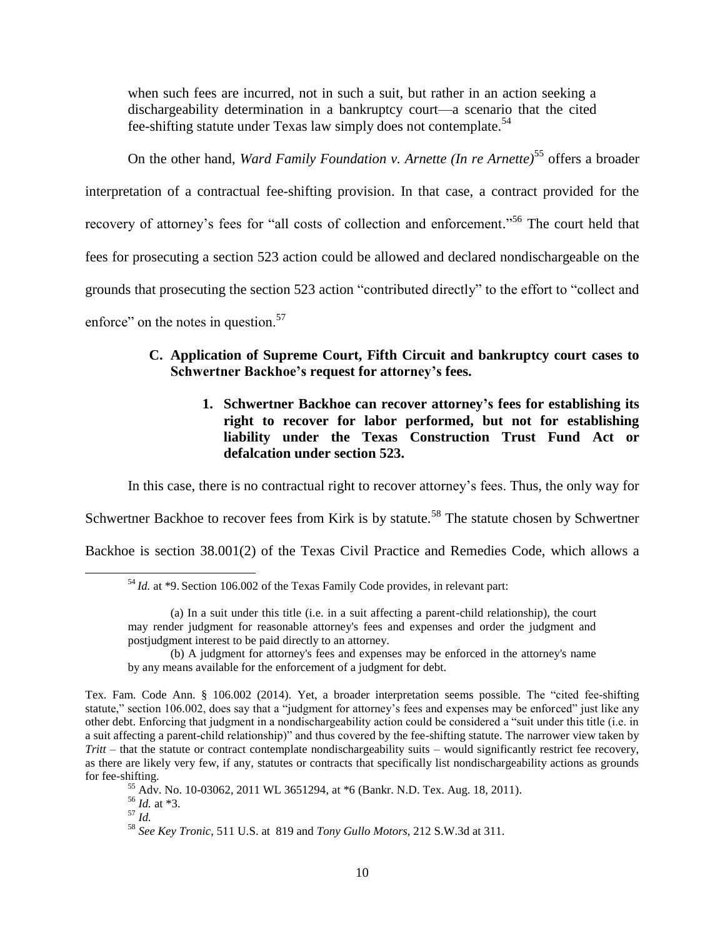when such fees are incurred, not in such a suit, but rather in an action seeking a dischargeability determination in a bankruptcy court—a scenario that the cited fee-shifting statute under Texas law simply does not contemplate.<sup>54</sup>

On the other hand, *Ward Family Foundation v. Arnette (In re Arnette)*<sup>55</sup> offers a broader interpretation of a contractual fee-shifting provision. In that case, a contract provided for the recovery of attorney's fees for "all costs of collection and enforcement."<sup>56</sup> The court held that fees for prosecuting a section 523 action could be allowed and declared nondischargeable on the grounds that prosecuting the section 523 action "contributed directly" to the effort to "collect and enforce" on the notes in question.<sup>57</sup>

# **C. Application of Supreme Court, Fifth Circuit and bankruptcy court cases to Schwertner Backhoe's request for attorney's fees.**

**1. Schwertner Backhoe can recover attorney's fees for establishing its right to recover for labor performed, but not for establishing liability under the Texas Construction Trust Fund Act or defalcation under section 523.**

In this case, there is no contractual right to recover attorney's fees. Thus, the only way for

Schwertner Backhoe to recover fees from Kirk is by statute.<sup>58</sup> The statute chosen by Schwertner

Backhoe is section 38.001(2) of the Texas Civil Practice and Remedies Code, which allows a

(b) A judgment for attorney's fees and expenses may be enforced in the attorney's name by any means available for the enforcement of a judgment for debt.

<sup>56</sup> *Id.* at \*3.

<sup>57</sup> *Id.*

<sup>54</sup> *Id.* at \*9. Section 106.002 of the Texas Family Code provides, in relevant part:

<sup>(</sup>a) In a suit under this title (i.e. in a suit affecting a parent-child relationship), the court may render judgment for reasonable attorney's fees and expenses and order the judgment and postjudgment interest to be paid directly to an attorney.

Tex. Fam. Code Ann. § 106.002 (2014). Yet, a broader interpretation seems possible. The "cited fee-shifting statute," section 106.002, does say that a "judgment for attorney's fees and expenses may be enforced" just like any other debt. Enforcing that judgment in a nondischargeability action could be considered a "suit under this title (i.e. in a suit affecting a parent-child relationship)" and thus covered by the fee-shifting statute. The narrower view taken by *Tritt* – that the statute or contract contemplate nondischargeability suits – would significantly restrict fee recovery, as there are likely very few, if any, statutes or contracts that specifically list nondischargeability actions as grounds for fee-shifting.

<sup>55</sup> Adv. No. 10-03062, 2011 WL 3651294, at \*6 (Bankr. N.D. Tex. Aug. 18, 2011).

<sup>58</sup> *See Key Tronic*, 511 U.S. at 819 and *Tony Gullo Motors*, 212 S.W.3d at 311.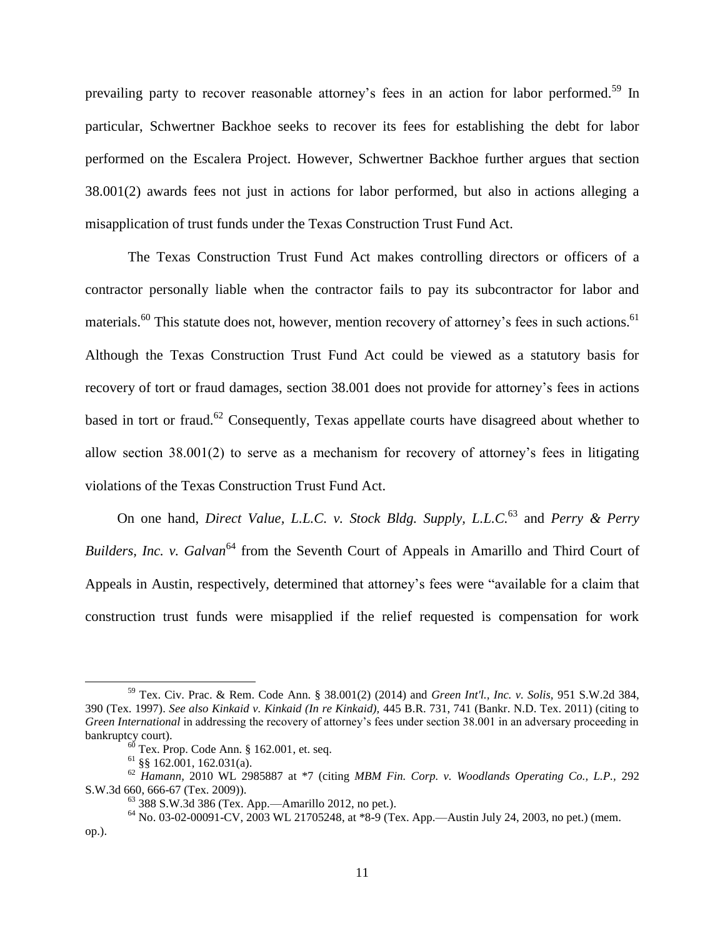prevailing party to recover reasonable attorney's fees in an action for labor performed.<sup>59</sup> In particular, Schwertner Backhoe seeks to recover its fees for establishing the debt for labor performed on the Escalera Project. However, Schwertner Backhoe further argues that section 38.001(2) awards fees not just in actions for labor performed, but also in actions alleging a misapplication of trust funds under the Texas Construction Trust Fund Act.

The Texas Construction Trust Fund Act makes controlling directors or officers of a contractor personally liable when the contractor fails to pay its subcontractor for labor and materials.<sup>60</sup> This statute does not, however, mention recovery of attorney's fees in such actions.<sup>61</sup> Although the Texas Construction Trust Fund Act could be viewed as a statutory basis for recovery of tort or fraud damages, section 38.001 does not provide for attorney's fees in actions based in tort or fraud.<sup>62</sup> Consequently, Texas appellate courts have disagreed about whether to allow section 38.001(2) to serve as a mechanism for recovery of attorney's fees in litigating violations of the Texas Construction Trust Fund Act.

On one hand, *Direct Value, L.L.C. v. Stock Bldg. Supply, L.L.C.*<sup>63</sup> and *Perry & Perry Builders, Inc. v. Galvan*<sup>64</sup> from the Seventh Court of Appeals in Amarillo and Third Court of Appeals in Austin, respectively, determined that attorney's fees were "available for a claim that construction trust funds were misapplied if the relief requested is compensation for work

<sup>59</sup> Tex. Civ. Prac. & Rem. Code Ann. § 38.001(2) (2014) and *Green Int'l., Inc. v. Solis,* 951 S.W.2d 384, 390 (Tex. 1997). *See also Kinkaid v. Kinkaid (In re Kinkaid),* 445 B.R. 731, 741 (Bankr. N.D. Tex. 2011) (citing to *Green International* in addressing the recovery of attorney's fees under section 38.001 in an adversary proceeding in bankruptcy court).

 $60$  Tex. Prop. Code Ann. § 162.001, et. seq.

 $61$  §§ 162.001, 162.031(a).

<sup>62</sup> *Hamann,* 2010 WL 2985887 at \*7 (citing *MBM Fin. Corp. v. Woodlands Operating Co., L.P.,* 292 S.W.3d 660, 666-67 (Tex. 2009)).

 $63$  388 S.W.3d 386 (Tex. App.—Amarillo 2012, no pet.).

 $64$  No. 03-02-00091-CV, 2003 WL 21705248, at  $*8-9$  (Tex. App.—Austin July 24, 2003, no pet.) (mem. op.).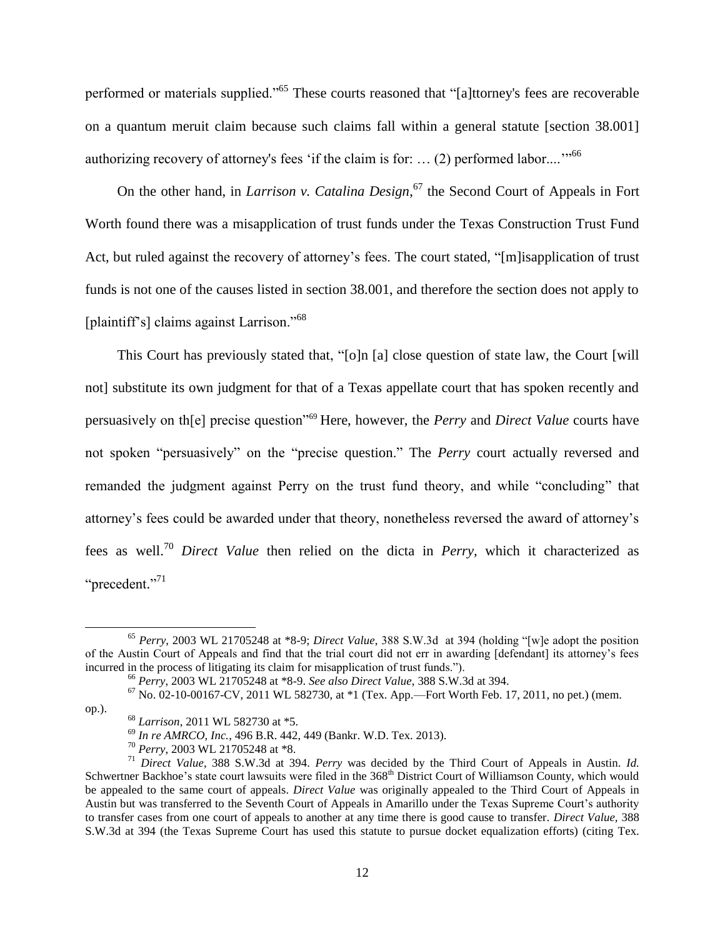performed or materials supplied."<sup>65</sup> These courts reasoned that "[a]ttorney's fees are recoverable on a quantum meruit claim because such claims fall within a general statute [section 38.001] authorizing recovery of attorney's fees 'if the claim is for: ... (2) performed labor....'"<sup>66</sup>

On the other hand, in *Larrison v. Catalina Design*, <sup>67</sup> the Second Court of Appeals in Fort Worth found there was a misapplication of trust funds under the Texas Construction Trust Fund Act, but ruled against the recovery of attorney's fees. The court stated, "[m]isapplication of trust funds is not one of the causes listed in section 38.001, and therefore the section does not apply to [plaintiff's] claims against Larrison."<sup>68</sup>

This Court has previously stated that, "[o]n [a] close question of state law, the Court [will not] substitute its own judgment for that of a Texas appellate court that has spoken recently and persuasively on th[e] precise question"<sup>69</sup> Here, however, the *Perry* and *Direct Value* courts have not spoken "persuasively" on the "precise question." The *Perry* court actually reversed and remanded the judgment against Perry on the trust fund theory, and while "concluding" that attorney's fees could be awarded under that theory, nonetheless reversed the award of attorney's fees as well.<sup>70</sup> *Direct Value* then relied on the dicta in *Perry,* which it characterized as "precedent."<sup>71</sup>

op.).

<sup>65</sup> *Perry*, 2003 WL 21705248 at \*8-9; *Direct Value*, 388 S.W.3d at 394 (holding "[w]e adopt the position of the Austin Court of Appeals and find that the trial court did not err in awarding [defendant] its attorney's fees incurred in the process of litigating its claim for misapplication of trust funds.").

<sup>66</sup> *Perry*, 2003 WL 21705248 at \*8-9. *See also Direct Value*, 388 S.W.3d at 394.

 $^{67}$  No. 02-10-00167-CV, 2011 WL 582730, at  $*1$  (Tex. App.—Fort Worth Feb. 17, 2011, no pet.) (mem.

<sup>68</sup> *Larrison*, 2011 WL 582730 at \*5.

<sup>69</sup> *In re AMRCO, Inc.*, 496 B.R. 442, 449 (Bankr. W.D. Tex. 2013).

<sup>70</sup> *Perry*, 2003 WL 21705248 at \*8.

<sup>71</sup> *Direct Value*, 388 S.W.3d at 394. *Perry* was decided by the Third Court of Appeals in Austin. *Id.* Schwertner Backhoe's state court lawsuits were filed in the 368<sup>th</sup> District Court of Williamson County, which would be appealed to the same court of appeals. *Direct Value* was originally appealed to the Third Court of Appeals in Austin but was transferred to the Seventh Court of Appeals in Amarillo under the Texas Supreme Court's authority to transfer cases from one court of appeals to another at any time there is good cause to transfer. *Direct Value,* 388 S.W.3d at 394 (the Texas Supreme Court has used this statute to pursue docket equalization efforts) (citing Tex.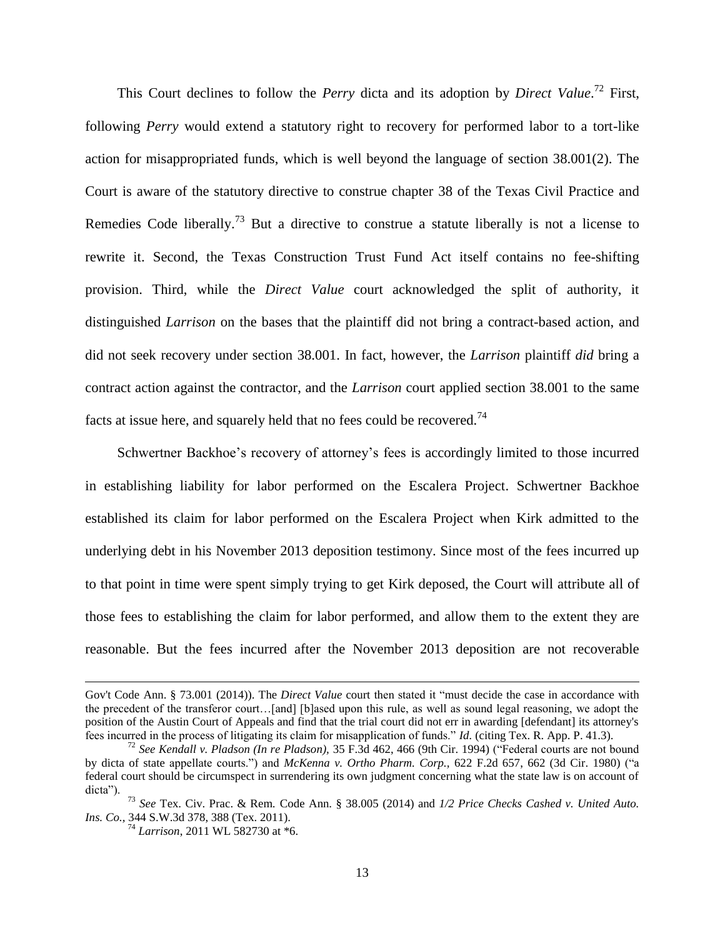This Court declines to follow the *Perry* dicta and its adoption by *Direct Value*. <sup>72</sup> First, following *Perry* would extend a statutory right to recovery for performed labor to a tort-like action for misappropriated funds, which is well beyond the language of section 38.001(2). The Court is aware of the statutory directive to construe chapter 38 of the Texas Civil Practice and Remedies Code liberally.<sup>73</sup> But a directive to construe a statute liberally is not a license to rewrite it. Second, the Texas Construction Trust Fund Act itself contains no fee-shifting provision. Third, while the *Direct Value* court acknowledged the split of authority, it distinguished *Larrison* on the bases that the plaintiff did not bring a contract-based action, and did not seek recovery under section 38.001. In fact, however, the *Larrison* plaintiff *did* bring a contract action against the contractor, and the *Larrison* court applied section 38.001 to the same facts at issue here, and squarely held that no fees could be recovered.<sup>74</sup>

Schwertner Backhoe's recovery of attorney's fees is accordingly limited to those incurred in establishing liability for labor performed on the Escalera Project. Schwertner Backhoe established its claim for labor performed on the Escalera Project when Kirk admitted to the underlying debt in his November 2013 deposition testimony. Since most of the fees incurred up to that point in time were spent simply trying to get Kirk deposed, the Court will attribute all of those fees to establishing the claim for labor performed, and allow them to the extent they are reasonable. But the fees incurred after the November 2013 deposition are not recoverable

Gov't Code Ann. § 73.001 (2014)). The *Direct Value* court then stated it "must decide the case in accordance with the precedent of the transferor court…[and] [b]ased upon this rule, as well as sound legal reasoning, we adopt the position of the Austin Court of Appeals and find that the trial court did not err in awarding [defendant] its attorney's fees incurred in the process of litigating its claim for misapplication of funds." *Id.* (citing Tex. R. App. P. 41.3).

<sup>72</sup> *See [Kendall v. Pladson \(In re Pladson\),](https://a.next.westlaw.com/Link/Document/FullText?findType=Y&serNum=1994185137&pubNum=506&originatingDoc=I83f11c9790fe11d9bc61beebb95be672&refType=RP&fi=co_pp_sp_506_466&originationContext=document&transitionType=DocumentItem&contextData=(sc.Search)#co_pp_sp_506_466)* 35 F.3d 462, 466 (9th Cir. 1994) ("Federal courts are not bound by dicta of state appellate courts.") and *[McKenna v. Ortho Pharm. Corp.,](https://a.next.westlaw.com/Link/Document/FullText?findType=Y&serNum=1980118289&pubNum=350&originatingDoc=I83f11c9790fe11d9bc61beebb95be672&refType=RP&fi=co_pp_sp_350_662&originationContext=document&transitionType=DocumentItem&contextData=(sc.Search)#co_pp_sp_350_662)* 622 F.2d 657, 662 (3d Cir. 1980) ("a federal court should be circumspect in surrendering its own judgment concerning what the state law is on account of dicta").

<sup>73</sup> *See* Tex. Civ. Prac. & Rem. Code Ann. § 38.005 (2014) and *1/2 Price Checks Cashed v. United Auto. Ins. Co.,* 344 S.W.3d 378, 388 (Tex. 2011).

<sup>74</sup> *Larrison*, 2011 WL 582730 at \*6.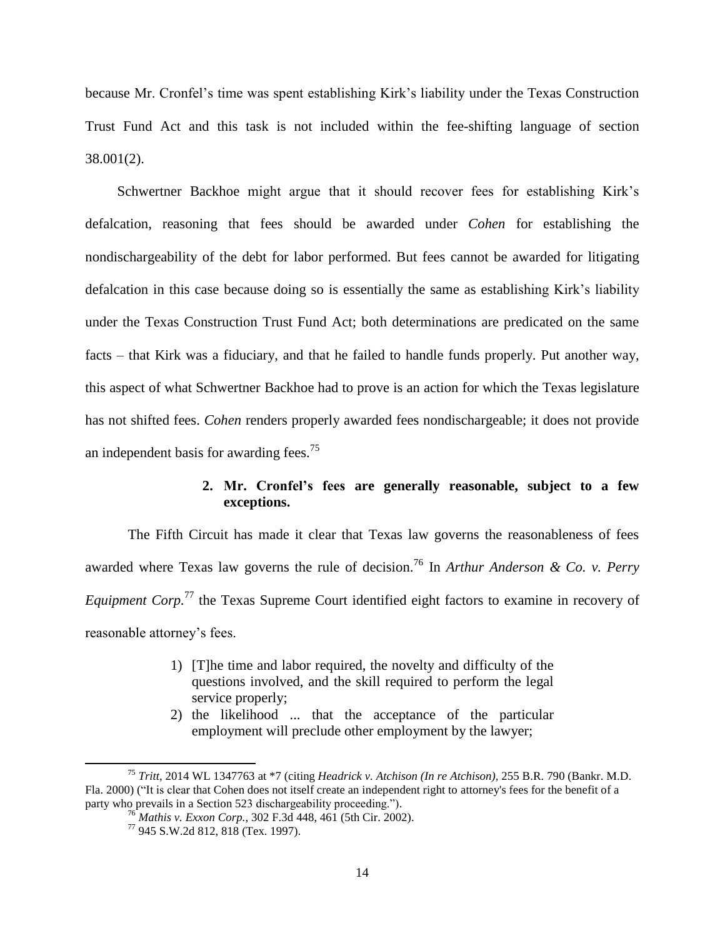because Mr. Cronfel's time was spent establishing Kirk's liability under the Texas Construction Trust Fund Act and this task is not included within the fee-shifting language of section 38.001(2).

Schwertner Backhoe might argue that it should recover fees for establishing Kirk's defalcation, reasoning that fees should be awarded under *Cohen* for establishing the nondischargeability of the debt for labor performed. But fees cannot be awarded for litigating defalcation in this case because doing so is essentially the same as establishing Kirk's liability under the Texas Construction Trust Fund Act; both determinations are predicated on the same facts – that Kirk was a fiduciary, and that he failed to handle funds properly. Put another way, this aspect of what Schwertner Backhoe had to prove is an action for which the Texas legislature has not shifted fees. *Cohen* renders properly awarded fees nondischargeable; it does not provide an independent basis for awarding fees.<sup>75</sup>

### **2. Mr. Cronfel's fees are generally reasonable, subject to a few exceptions.**

The Fifth Circuit has made it clear that Texas law governs the reasonableness of fees awarded where Texas law governs the rule of decision.<sup>76</sup> In *Arthur Anderson & Co. v. Perry Equipment Corp.*<sup>77</sup> the Texas Supreme Court identified eight factors to examine in recovery of reasonable attorney's fees.

- 1) [T]he time and labor required, the novelty and difficulty of the questions involved, and the skill required to perform the legal service properly;
- 2) the likelihood ... that the acceptance of the particular employment will preclude other employment by the lawyer;

<sup>75</sup> *Tritt*, 2014 WL 1347763 at \*7 (citing *Headrick v. Atchison (In re Atchison),* 255 B.R. 790 (Bankr. M.D. Fla. 2000) ("It is clear that Cohen does not itself create an independent right to attorney's fees for the benefit of a party who prevails in a Section 523 dischargeability proceeding.").

<sup>76</sup> *Mathis v. Exxon Corp.,* 302 F.3d 448, 461 (5th Cir. 2002).

<sup>77</sup> 945 S.W.2d 812, 818 (Tex. 1997).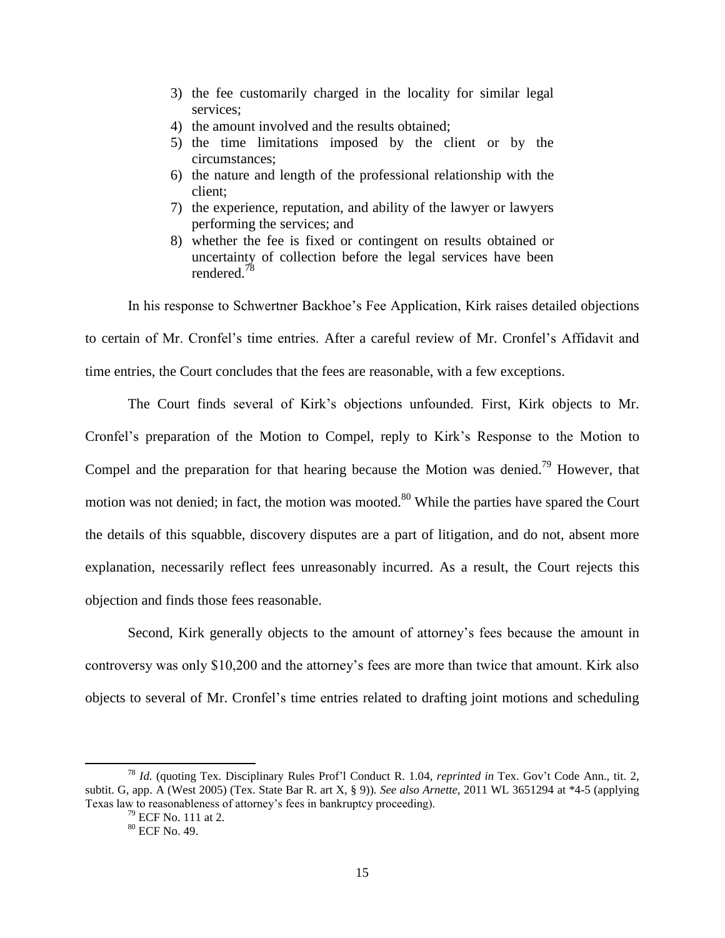- 3) the fee customarily charged in the locality for similar legal services;
- 4) the amount involved and the results obtained;
- 5) the time limitations imposed by the client or by the circumstances;
- 6) the nature and length of the professional relationship with the client;
- 7) the experience, reputation, and ability of the lawyer or lawyers performing the services; and
- 8) whether the fee is fixed or contingent on results obtained or uncertainty of collection before the legal services have been rendered<sup>78</sup>

In his response to Schwertner Backhoe's Fee Application, Kirk raises detailed objections to certain of Mr. Cronfel's time entries. After a careful review of Mr. Cronfel's Affidavit and time entries, the Court concludes that the fees are reasonable, with a few exceptions.

The Court finds several of Kirk's objections unfounded. First, Kirk objects to Mr. Cronfel's preparation of the Motion to Compel, reply to Kirk's Response to the Motion to Compel and the preparation for that hearing because the Motion was denied.<sup>79</sup> However, that motion was not denied; in fact, the motion was mooted.<sup>80</sup> While the parties have spared the Court the details of this squabble, discovery disputes are a part of litigation, and do not, absent more explanation, necessarily reflect fees unreasonably incurred. As a result, the Court rejects this objection and finds those fees reasonable.

Second, Kirk generally objects to the amount of attorney's fees because the amount in controversy was only \$10,200 and the attorney's fees are more than twice that amount. Kirk also objects to several of Mr. Cronfel's time entries related to drafting joint motions and scheduling

<sup>78</sup> *Id.* (quoting Tex. Disciplinary Rules Prof'l Conduct R. 1.04, *reprinted in* Tex. Gov't Code Ann., tit. 2, subtit. G, app. A (West 2005) (Tex. State Bar R. art X, § 9))*. See also Arnette,* 2011 WL 3651294 at \*4-5 (applying Texas law to reasonableness of attorney's fees in bankruptcy proceeding).

 $79$  ECF No. 111 at 2.

<sup>80</sup> ECF No. 49.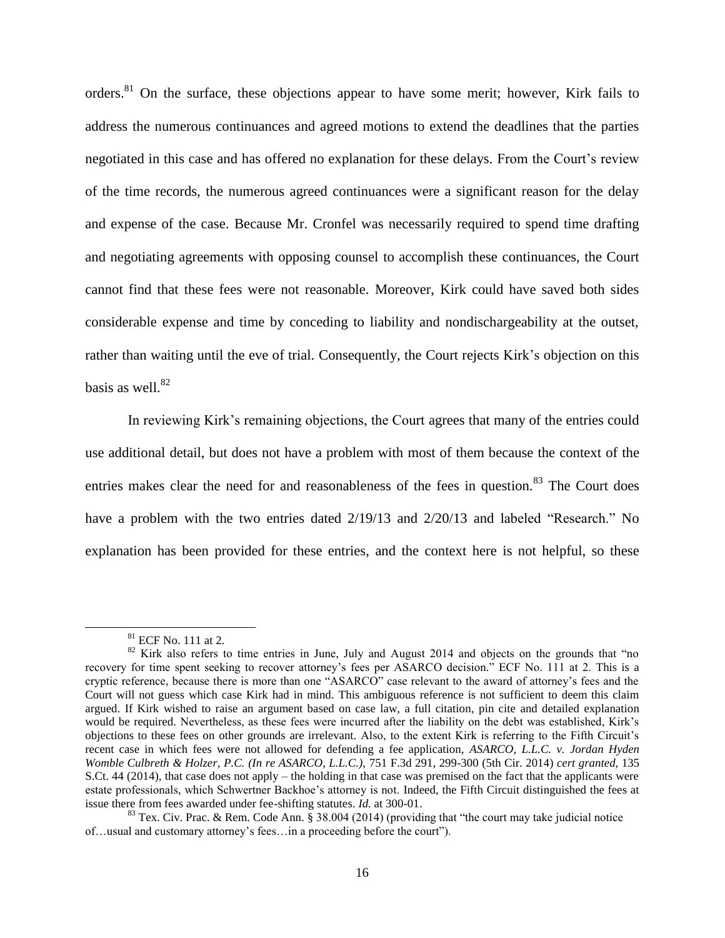orders.<sup>81</sup> On the surface, these objections appear to have some merit; however, Kirk fails to address the numerous continuances and agreed motions to extend the deadlines that the parties negotiated in this case and has offered no explanation for these delays. From the Court's review of the time records, the numerous agreed continuances were a significant reason for the delay and expense of the case. Because Mr. Cronfel was necessarily required to spend time drafting and negotiating agreements with opposing counsel to accomplish these continuances, the Court cannot find that these fees were not reasonable. Moreover, Kirk could have saved both sides considerable expense and time by conceding to liability and nondischargeability at the outset, rather than waiting until the eve of trial. Consequently, the Court rejects Kirk's objection on this basis as well.<sup>82</sup>

In reviewing Kirk's remaining objections, the Court agrees that many of the entries could use additional detail, but does not have a problem with most of them because the context of the entries makes clear the need for and reasonableness of the fees in question.<sup>83</sup> The Court does have a problem with the two entries dated  $2/19/13$  and  $2/20/13$  and labeled "Research." No explanation has been provided for these entries, and the context here is not helpful, so these

 $\overline{\phantom{a}}$ 

<sup>81</sup> ECF No. 111 at 2.

<sup>&</sup>lt;sup>82</sup> Kirk also refers to time entries in June, July and August 2014 and objects on the grounds that "no recovery for time spent seeking to recover attorney's fees per ASARCO decision." ECF No. 111 at 2. This is a cryptic reference, because there is more than one "ASARCO" case relevant to the award of attorney's fees and the Court will not guess which case Kirk had in mind. This ambiguous reference is not sufficient to deem this claim argued. If Kirk wished to raise an argument based on case law, a full citation, pin cite and detailed explanation would be required. Nevertheless, as these fees were incurred after the liability on the debt was established, Kirk's objections to these fees on other grounds are irrelevant. Also, to the extent Kirk is referring to the Fifth Circuit's recent case in which fees were not allowed for defending a fee application, *ASARCO, L.L.C. v. Jordan Hyden Womble Culbreth & Holzer, P.C. (In re ASARCO, L.L.C.),* 751 F.3d 291, 299-300 (5th Cir. 2014) *cert granted,* 135 S.Ct. 44 (2014), that case does not apply – the holding in that case was premised on the fact that the applicants were estate professionals, which Schwertner Backhoe's attorney is not. Indeed, the Fifth Circuit distinguished the fees at issue there from fees awarded under fee-shifting statutes. *Id.* at 300-01.

<sup>&</sup>lt;sup>83</sup> Tex. Civ. Prac. & Rem. Code Ann. § 38.004 (2014) (providing that "the court may take judicial notice of…usual and customary attorney's fees…in a proceeding before the court").